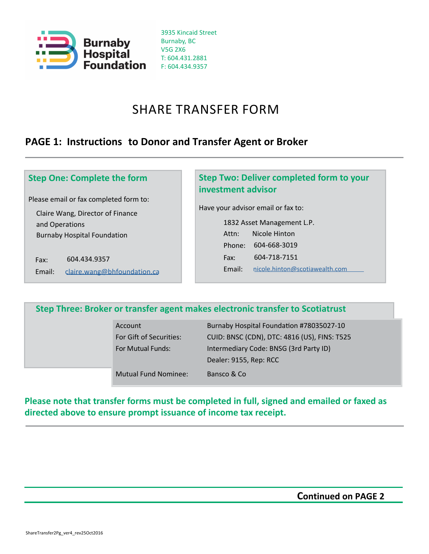

3935 Kincaid Street Burnaby, BC V5G 2X6 T: 604.431.2881 F: 604.434.9357

# SHARE TRANSFER FORM

## **PAGE 1: Instructions to Donor and Transfer Agent or Broker**

### **Step One: Complete the form**

Please email or fax completed form to:

Claire Wang, Director of Finance and Operations Burnaby Hospital Foundation

Fax: 604.434.9357 Email: [claire.wang@bhfoundation.ca](mailto:tanya.sedlacek@bhfoundation.ca)

### **Step Two: Deliver completed form to your investment advisor**

Have your advisor email or fax to:

1832 Asset Management L.P. Attn: Nicole Hinton Phone: 604-668-3019 Fax: 604-718-7151 Email: [nicole.hinton@scotiawealth.com](mailto:kelly.hernandez@scotiawealth.com)

### **Step Three: Broker or transfer agent makes electronic transfer to Scotiatrust**

| Account                     | Burnaby Hospital Foundation #78035027-10     |  |  |  |
|-----------------------------|----------------------------------------------|--|--|--|
| For Gift of Securities:     | CUID: BNSC (CDN), DTC: 4816 (US), FINS: T525 |  |  |  |
| For Mutual Funds:           | Intermediary Code: BNSG (3rd Party ID)       |  |  |  |
|                             | Dealer: 9155, Rep: RCC                       |  |  |  |
| <b>Mutual Fund Nominee:</b> | Bansco & Co                                  |  |  |  |

### **Please note that transfer forms must be completed in full, signed and emailed or faxed as directed above to ensure prompt issuance of income tax receipt.**

**Continued on PAGE 2**